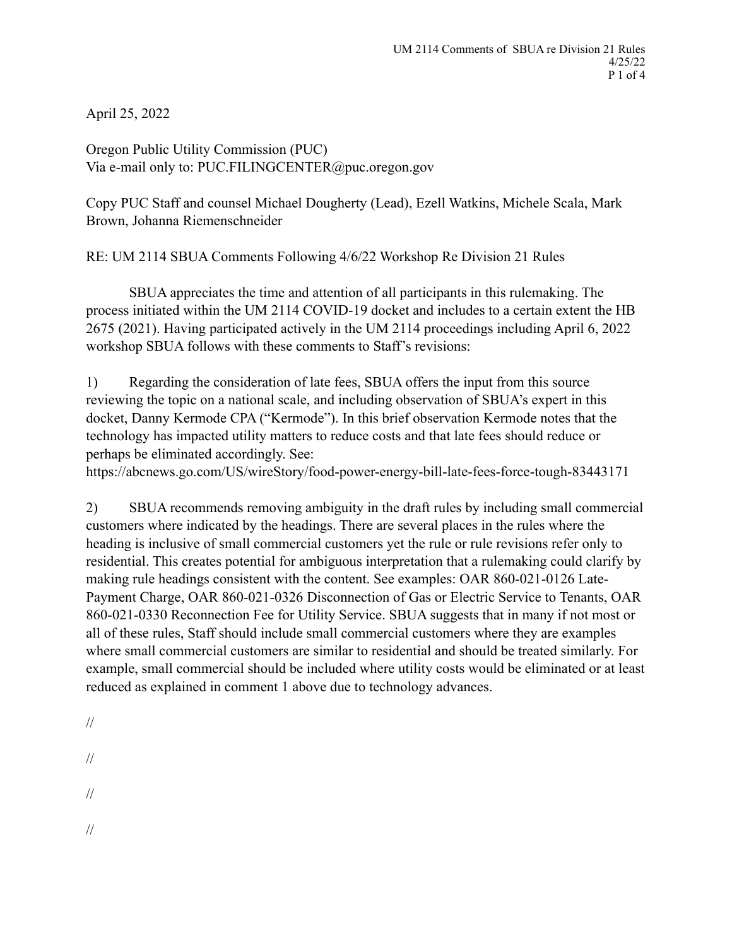April 25, 2022

Oregon Public Utility Commission (PUC) Via e-mail only to: PUC.FILINGCENTER@puc.oregon.gov

Copy PUC Staff and counsel Michael Dougherty (Lead), Ezell Watkins, Michele Scala, Mark Brown, Johanna Riemenschneider

RE: UM 2114 SBUA Comments Following 4/6/22 Workshop Re Division 21 Rules

SBUA appreciates the time and attention of all participants in this rulemaking. The process initiated within the UM 2114 COVID-19 docket and includes to a certain extent the HB 2675 (2021). Having participated actively in the UM 2114 proceedings including April 6, 2022 workshop SBUA follows with these comments to Staff's revisions:

1) Regarding the consideration of late fees, SBUA offers the input from this source reviewing the topic on a national scale, and including observation of SBUA's expert in this docket, Danny Kermode CPA ("Kermode"). In this brief observation Kermode notes that the technology has impacted utility matters to reduce costs and that late fees should reduce or perhaps be eliminated accordingly. See:

https://abcnews.go.com/US/wireStory/food-power-energy-bill-late-fees-force-tough-83443171

2) SBUA recommends removing ambiguity in the draft rules by including small commercial customers where indicated by the headings. There are several places in the rules where the heading is inclusive of small commercial customers yet the rule or rule revisions refer only to residential. This creates potential for ambiguous interpretation that a rulemaking could clarify by making rule headings consistent with the content. See examples: OAR 860-021-0126 Late-Payment Charge, OAR 860-021-0326 Disconnection of Gas or Electric Service to Tenants, OAR 860-021-0330 Reconnection Fee for Utility Service. SBUA suggests that in many if not most or all of these rules, Staff should include small commercial customers where they are examples where small commercial customers are similar to residential and should be treated similarly. For example, small commercial should be included where utility costs would be eliminated or at least reduced as explained in comment 1 above due to technology advances.

- //
- //

//

//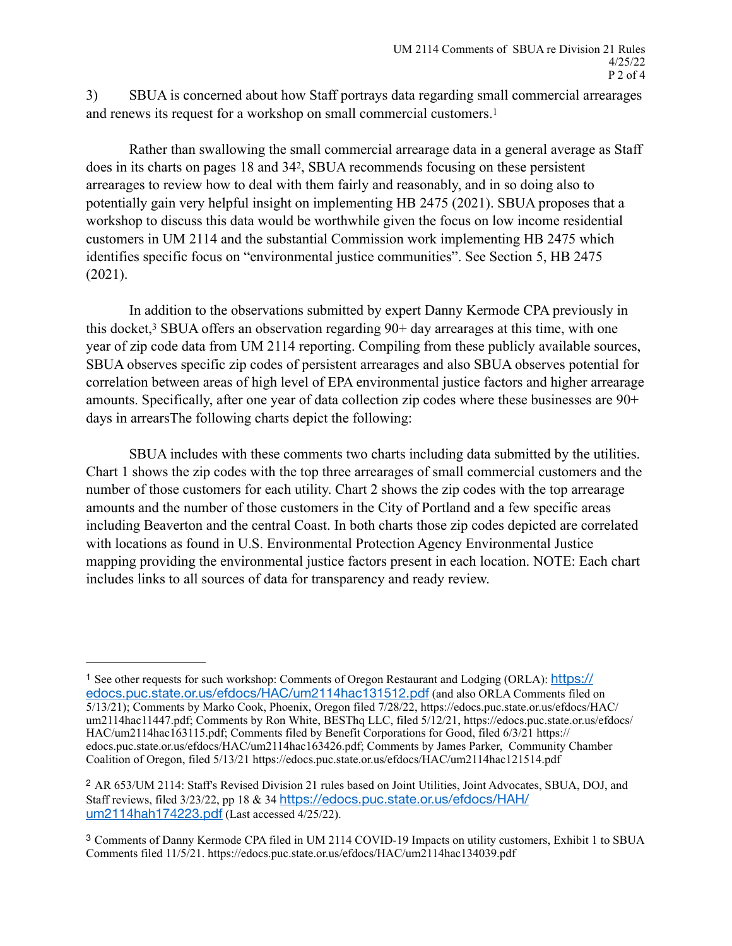<span id="page-1-3"></span>3) SBUA is concerned about how Staff portrays data regarding small commercial arrearages and renews its request for a workshop on small commercial customers[.1](#page-1-0)

<span id="page-1-4"></span>Rather than swallowing the small commercial arrearage data in a general average as Staff does in its charts on pages 18 and 34<sup>2</sup>[,](#page-1-1) SBUA recommends focusing on these persistent arrearages to review how to deal with them fairly and reasonably, and in so doing also to potentially gain very helpful insight on implementing HB 2475 (2021). SBUA proposes that a workshop to discuss this data would be worthwhile given the focus on low income residential customers in UM 2114 and the substantial Commission work implementing HB 2475 which identifies specific focus on "environmental justice communities". See Section 5, HB 2475 (2021).

<span id="page-1-5"></span>In addition to the observations submitted by expert Danny Kermode CPA previously in this docket[,](#page-1-2) $3$  SBUA offers an observation regarding  $90+$  day arrearages at this time, with one year of zip code data from UM 2114 reporting. Compiling from these publicly available sources, SBUA observes specific zip codes of persistent arrearages and also SBUA observes potential for correlation between areas of high level of EPA environmental justice factors and higher arrearage amounts. Specifically, after one year of data collection zip codes where these businesses are 90+ days in arrearsThe following charts depict the following:

SBUA includes with these comments two charts including data submitted by the utilities. Chart 1 shows the zip codes with the top three arrearages of small commercial customers and the number of those customers for each utility. Chart 2 shows the zip codes with the top arrearage amounts and the number of those customers in the City of Portland and a few specific areas including Beaverton and the central Coast. In both charts those zip codes depicted are correlated with locations as found in U.S. Environmental Protection Agency Environmental Justice mapping providing the environmental justice factors present in each location. NOTE: Each chart includes links to all sources of data for transparency and ready review.

<span id="page-1-0"></span><sup>&</sup>lt;sup>1</sup> See other requests for such workshop: Comments of Oregon Restaurant and Lodging (ORLA): [https://](https://edocs.puc.state.or.us/efdocs/HAC/um2114hac131512.pdf) [edocs.puc.state.or.us/efdocs/HAC/um2114hac131512.pdf](https://edocs.puc.state.or.us/efdocs/HAC/um2114hac131512.pdf) (and also ORLA Comments filed on 5/13/21); Comments by Marko Cook, Phoenix, Oregon filed 7/28/22, https://edocs.puc.state.or.us/efdocs/HAC/ um2114hac11447.pdf; Comments by Ron White, BESThq LLC, filed 5/12/21, https://edocs.puc.state.or.us/efdocs/ HAC/um2114hac163115.pdf; Comments filed by Benefit Corporations for Good, filed 6/3/21 https:// edocs.puc.state.or.us/efdocs/HAC/um2114hac163426.pdf; Comments by James Parker, Community Chamber Coalition of Oregon, filed 5/13/21 https://edocs.puc.state.or.us/efdocs/HAC/um2114hac121514.pdf

<span id="page-1-1"></span><sup>&</sup>lt;sup>[2](#page-1-4)</sup> AR 653/UM 2114: Staff's Revised Division 21 rules based on Joint Utilities, Joint Advocates, SBUA, DOJ, and Staff reviews, filed 3/23/22, pp 18 & 34 [https://edocs.puc.state.or.us/efdocs/HAH/](https://edocs.puc.state.or.us/efdocs/HAH/um2114hah174223.pdf) [um2114hah174223.pdf](https://edocs.puc.state.or.us/efdocs/HAH/um2114hah174223.pdf) (Last accessed 4/25/22).

<span id="page-1-2"></span><sup>&</sup>lt;sup>[3](#page-1-5)</sup> Comments of Danny Kermode CPA filed in UM 2114 COVID-19 Impacts on utility customers, Exhibit 1 to SBUA Comments filed 11/5/21. https://edocs.puc.state.or.us/efdocs/HAC/um2114hac134039.pdf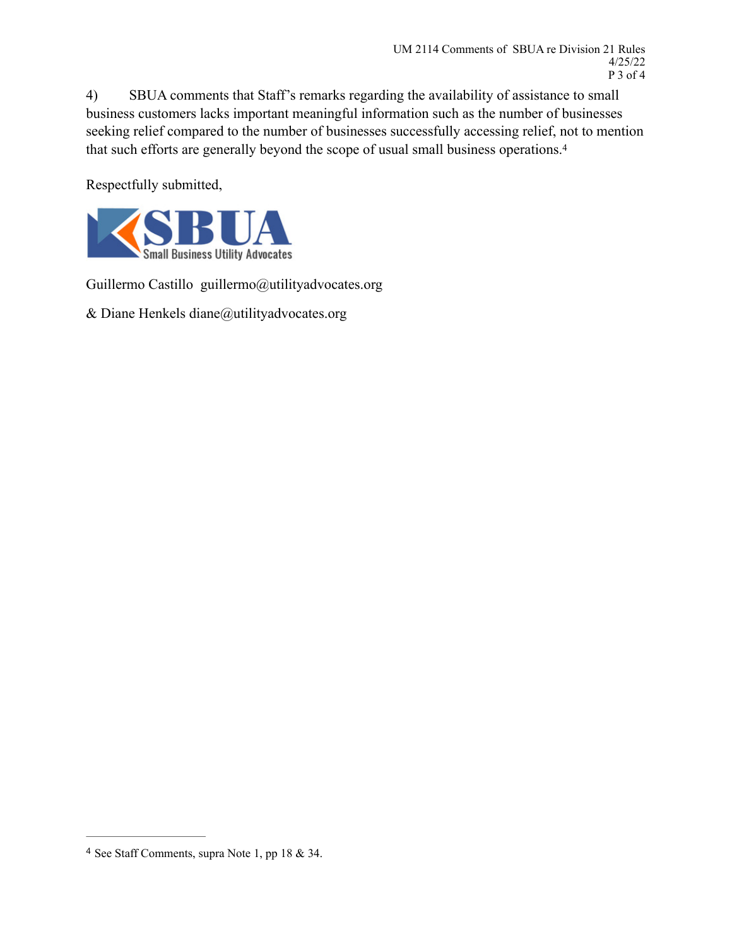4) SBUA comments that Staff's remarks regarding the availability of assistance to small business customers lacks important meaningful information such as the number of businesses seeking relief compared to the number of businesses successfully accessing relief, not to mention that such efforts are generally beyond the scope of usual small business operations.[4](#page-2-0)

<span id="page-2-1"></span>Respectfully submitted,



Guillermo Castillo guillermo@utilityadvocates.org

& Diane Henkels [diane@utilityadvocates.org](mailto:diane@utilityadvocates.org)

<span id="page-2-0"></span><sup>&</sup>lt;sup>[4](#page-2-1)</sup> See Staff Comments, supra Note 1, pp 18 & 34.